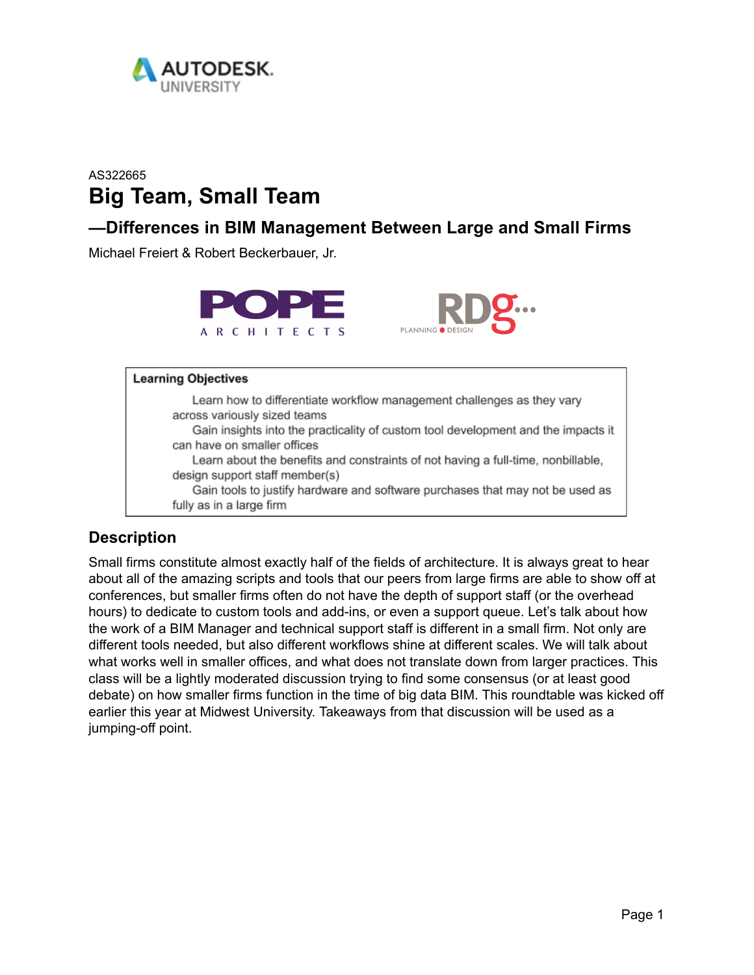

# AS322665 **Big Team, Small Team**

## **—Differences in BIM Management Between Large and Small Firms**

Michael Freiert & Robert Beckerbauer, Jr.



#### **Learning Objectives**

Learn how to differentiate workflow management challenges as they vary across variously sized teams Gain insights into the practicality of custom tool development and the impacts it can have on smaller offices Learn about the benefits and constraints of not having a full-time, nonbillable, design support staff member(s) Gain tools to justify hardware and software purchases that may not be used as fully as in a large firm

#### **Description**

Small firms constitute almost exactly half of the fields of architecture. It is always great to hear about all of the amazing scripts and tools that our peers from large firms are able to show off at conferences, but smaller firms often do not have the depth of support staff (or the overhead hours) to dedicate to custom tools and add-ins, or even a support queue. Let's talk about how the work of a BIM Manager and technical support staff is different in a small firm. Not only are different tools needed, but also different workflows shine at different scales. We will talk about what works well in smaller offices, and what does not translate down from larger practices. This class will be a lightly moderated discussion trying to find some consensus (or at least good debate) on how smaller firms function in the time of big data BIM. This roundtable was kicked off earlier this year at Midwest University. Takeaways from that discussion will be used as a jumping-off point.